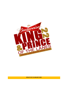

**RESULTS OF 23 JANUARY 2022**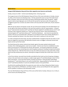#### **Inaugural 2022 Budweiser King and Prince titles capped by Leon Guerrero and Granillo**

Sunday, January 23, 2022 – Central Lanes Bowling Center, Tamuning, Guam

The inaugural event of the 2022 Budweiser King and Prince of the Lanes took place on Sunday, January 23, 2022, at the Central Lanes Bowling Center. Erik Day opened the event on top of the leader board with a 225 game, which was short-lived as RJ Santos claimed pole position after two games. Angelo Aquino's back-to-back high game sets of 229 and 232 earned him top honors after three games but struggled on game four as Santos was able to finish as the top seed with an 854 series, 56 pins ahead of Aquino.

With the top two placers earning bye rounds, the rest of the top ten bowlers from the field duked it out for the right to face Santos and Aquino in the semi-final matches on the 42' long oil pattern. In Round one, 8<sup>th</sup> seed Jeremiah Camacho and 9<sup>th</sup> seed Ray San Nicolas toppled 4<sup>th</sup> seed Ricky Duenas and 3<sup>rd</sup> seed Erik Day in their respective matches as  $5<sup>th</sup>$  seed Jay Leon Guerrero and  $6<sup>th</sup>$  seed Frank Manibusan Jr. advanced against 10<sup>th</sup> seed Darien Borja and 7<sup>th</sup> seed Brian Manibusan. Leon Guerrero pounded the pocket in Round 2 as he finished with a 244 game to oust National Youth Team member Manibusan Jr. Camacho upended San Nicolas in the other quarter-final match to advance to the semi-finals.

In a hotly contested semi-final match, the lower seeded bowlers managed to beat the top seeds as Leon Guerrero edged first seed Santos 205-180 while Camacho used a six bagger to eliminate second seed Aquino and set up the final match.

The finale featured the veteran national team bowler against the power-packed national youth standout, Nino challenging godson, coach versus student. Veteran Leon Guerrero established an early lead as he pounced on a missed spare by 18-year-old Camacho. As the game progressed, the battle intensified, with Nino Jay countering every mark the godson produced, including carrying three Brooklyn strikes along the way. With the final stanza on tap, the student put pressure on the coach with a turkey which was duly answered by the veteran, claiming the inaugural monthly title of 2022 with a 224 to 212 set.

In the Prince division, top seed Corey Granillo controlled the final match-up from the get-go stringing a turkey in the early frames and cruising to a sizable margin against 4<sup>th</sup> seed Sheila Bangs to claim his first title in the division. In the semi-final matches, Granillo out-pinned  $7<sup>th</sup>$  seed Josh Reyes while Bangs bowled past  $2<sup>nd</sup>$  seed Arlene Reyes to set up the monthly finals. Bangs qualified for the finale with wins over 8<sup>th</sup> seed Kaimana Bamba in round one and Robert Leones in the quarterfinals.

Granillo led the qualifying field after four games by seven sticks over Reyes followed by Robert Leones, Bangs, Gomes Martinez, Bill Roberto, Josh Reyes, Bamba, Jeremy Leal and Miyuki Kim who capped the top ten qualifiers to advance to the elimination rounds.

The next 2022 Budweiser King and Prince of the Lanes will be held on Sunday, February 13, at 1:30 p.m. at the Central Lanes Bowling Center.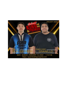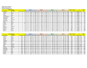#### **King and Prince of the Lanes**

#### **Sunday, January 23, 2022**

T

#### **Central Lanes Bowling Center**

| <b>Name of Bowler</b> |                   |                |               |          | Game 1         |             |  |       | Game 2     |   |              |     | Game 3 |          |  |             |          | Game 4 |            |  |             |              | <b>Scratch</b> | No. of |              |                | Grand       |              |
|-----------------------|-------------------|----------------|---------------|----------|----------------|-------------|--|-------|------------|---|--------------|-----|--------|----------|--|-------------|----------|--------|------------|--|-------------|--------------|----------------|--------|--------------|----------------|-------------|--------------|
| <b>Pos Last Name</b>  | <b>First Name</b> | <b>Average</b> | <b>Hdcp</b>   | Lane Seq |                | Score   Hcp |  | Total | Lane   Seg |   | <b>Score</b> | Hcp | Total  | Lane Seq |  | Score   Hcp |          | Total  | Lane   Seg |  | Score   Hcp |              | <b>Total</b>   | Total  | <b>Games</b> | <b>Average</b> | <b>Hdcp</b> | <b>Total</b> |
| Santos                | <b>RJ</b>         |                |               | 29       |                | 206         |  | 206   | 25         |   | 224          |     | 224    |          |  | 202         |          | 202    |            |  | 222         |              | 222            | 854    |              | 213.50         |             | 854          |
| 2 Aquino              | Angelo            |                |               | 22       |                | 188         |  | 188   | 26         |   | 229          |     | 229    | 30       |  | 232         |          | 232    |            |  | 149         | $\Omega$     | 149            | 798    |              | 199.50         |             | 798          |
| 3 Day                 | Erik              |                |               | 13       |                | 225         |  | 225   | 27         |   | 157          |     | 157    | 23       |  | 192         |          | 192    | 19         |  | 223         | n            | 223            | 797    |              | 199.25         |             | 797          |
| 4 Duenas              | Ricky             |                |               | 17       |                | 194         |  | 194   | 13         |   | 220          |     | 220    | 27       |  | 191         |          | 191    |            |  | 181         |              | 181            | 786    |              | 196.50         |             | 786          |
| 5 Leon Guerrero       | Jay               |                |               | 27       |                | 197         |  | 197   | 23         |   | 195          |     | 195    | 19       |  | 221         |          | 221    |            |  | 170         | <sup>n</sup> | 170            | 783    |              | 195.75         |             | 783          |
| 6 Manibusan           | Frank Jr          |                |               | 21       |                | 213         |  | 213   |            | A | 186          |     | 186    | 13       |  | 199         |          | 199    |            |  | 184         | $\Omega$     | 184            | 782    |              | 195.50         |             | 782          |
| 7 Manibusan           | <b>Brian</b>      |                |               | 28       |                | 201         |  | 201   | 14         |   | 171          |     | 171    | 18       |  | 225         |          | 225    |            |  | 173         | <sup>0</sup> | 173            | 770    |              | 192.50         |             | 770          |
| 8 Camacho             | Jeremiah          |                |               | 14       |                | 185         |  | 185   | 18         |   | 189          |     | 189    | 22       |  | 218         |          | 218    | 26         |  | 175         | <sup>0</sup> | 175            | 767    |              | 191.75         |             | 767          |
| 9 San Nicolas         | Ray               |                |               | 18       |                | 176         |  | 176   | 22         |   | 181          |     | 181    | 26       |  | 192         |          | 192    |            |  | 200         |              | 200            | 749    |              | 187.25         |             | 749          |
| 10 Borja              | Darien            |                |               | 30       |                | 195         |  | 195   | 16         |   | 199          |     | 199    | 20       |  | 152         |          | 152    |            |  | 194         | $\Omega$     | 194            | 740    |              | 185.00         |             | 740          |
| 11 Wood               | Maria             |                | $\Omega$<br>õ | 23       |                | 214         |  | 222   | 19         |   | 151          | 8   | 159    | 15       |  | 181         | 8        | 189    | 29         |  | 150         |              | 158            | 696    |              | 174.00         | 32          | 728          |
| 12 Sanchez            | Mike              |                |               | 15       |                | 179         |  | 179   | 29         |   | 161          |     | 161    | 25       |  | 223         |          | 223    | 21         |  | 159         | <sup>0</sup> | 159            | 722    |              | 180.50         |             | 722          |
| 13 Cruz               | Ray               |                |               | 16       |                | 175         |  | 175   | 20         |   | 161          |     | 161    | 24       |  | 244         |          | 244    | 28         |  | 131         | <sup>n</sup> | 131            | 711    |              | 177.75         |             | 711          |
| 14 Santos             | Cameron           |                |               | 19       |                | 192         |  | 192   | 15         |   | 148          |     | 148    | 29       |  | 192         |          | 192    |            |  | 177         | $\Omega$     | 177            | 709    |              | 177.25         |             | 709          |
| 15 Mercado            | John              |                |               | 26       |                | 191         |  | 191   | 30         |   | 153          |     | 153    | 16       |  | 213         |          | 213    |            |  | 147         | $\Omega$     | 147            | 704    |              | 176.00         |             | 704          |
| 16 Wong               | Michael           |                |               | 25       |                | 151         |  | 151   | 21         |   | 174          |     | 174    | 17       |  | 202         | $\Omega$ | 202    | 13         |  | 157         | $\Omega$     | 157            | 684    |              | 171.00         |             | 684          |
| 17 Duenas             | Evan              |                |               | 20       |                | 155         |  | 155   | 24         |   | 172          |     | 172    | 28       |  | 168         |          | 168    |            |  | 185         | <sup>n</sup> | 185            | 680    |              | 170.00         |             | 680          |
| 18 Scott              | Darrell           |                |               | 24       | $\overline{A}$ | 140         |  | 140   | 28         |   | 191          |     | 191    | 14       |  | 160         |          | 160    |            |  | 187         | <sup>n</sup> | 187            | 678    |              | 169.50         |             | 678          |

| <b>Name of Bowler</b> |                   |                |      |          | Game 1 |             |    | Game 2       |            |              |       |     | Game 3       |          |              |     | Game 4 |            |                  | <b>Scratch</b> | No. of       |             |              | Grand          |             |              |
|-----------------------|-------------------|----------------|------|----------|--------|-------------|----|--------------|------------|--------------|-------|-----|--------------|----------|--------------|-----|--------|------------|------------------|----------------|--------------|-------------|--------------|----------------|-------------|--------------|
| <b>Pos Last Name</b>  | <b>First Name</b> | <b>Average</b> | Hdcn | Lane Seq |        | Score   Hcp |    | <b>Total</b> | Lane   Seg |              | Score | Hcp | <b>Total</b> | Lane Seq | <b>Score</b> | Hcp | Total  | Lane   Seg | <b>Score</b>     | <b>Hcp</b>     | <b>Total</b> | <b>Tota</b> | <b>Games</b> | <b>Average</b> | <b>Hdcp</b> | <b>Total</b> |
| Granillo              | Corey             | 154            | 27   |          | B.     | 178         | 27 | 205          | 14         | B.           | 205   | 27  | 232          | 18       | 143          | 27  | 170    |            | 173 <sub>1</sub> | 27             | 200          | 699         |              | 174.75         | 108         | 807          |
| Peyes                 | Arlene            | 162            | 29   |          | B      | 204         | 29 | 233          | 24         | <sup>B</sup> | 155   | 29  | 184          | 28       | 152          | 29  | 181    |            | 173 <sub>1</sub> | 29             | 202          | 684         |              | 171.00         | 116         | 800          |
| 3 Leones              | Robert            | 174            | 12   |          | B      | 200         | 12 | 212          |            | <sup>B</sup> | 182   | 12  | 194          |          | 184          | 12  | 196    |            | 179              |                | 191          | 745         |              | 186.25         | 48          | 793          |
| 4 Bangs               | Shiela            | 162            | 29   | 24       | B      | 143         | 29 | 172          | 28         | B.           | 197   | 29  | 226          |          | 168          | 29  | 197    | 18         | 168              |                | 186          | 676         |              | 169.00         | 105         | 781          |
| 5 Martinez            | Gomez             | 173            | 12   | 23       | B      | 150         | 12 | 162          |            | B            | 185   | 12  | 197          |          | 209          | 12  | 221    | 29         | 169              |                | 181          | 7131        |              | 178.25         | 48          | 761          |
| 6 Roberto             | Bill              | 168            | 16   | ЗС       | B      | 156         | 16 | 172          | Tр         | B            | 157   | 16  | 173          | 20       | 160          | тp  | 176    |            | 213              |                | 229          | 686         |              | 171.50         | 64          | 750          |
| 7 Reyes               | Josh              | 161            | 21   |          | B.     | 177         | 21 | 198          | 23         | <sub>B</sub> | 185   | 21  | 206          |          | 164          | 21  | 185    |            | 122              |                | 143          | 648         |              | 162.00         | 84          | 732          |
| 8 Bamba               | Kaimana           | 166            | 18   |          | B      | 127         | 18 | 145          | 13         | B            | 170   | 18  | 188          |          | 166          | 18  | 184    |            | 196              |                | 214          | 659         |              | 164.75         | 72          | 731          |
| 9 Leal                | Jeremy            | 100            | 67   |          | B      | 144         | 67 | 211          | 29         | <sup>B</sup> | 117   | 67  | 184          | 25       | 95           | 67  | 162    |            | 95 I             | 67             | 162          | 451         |              | 112.75         | 268         | 719          |
| 10 Kim                | Miyuki            | 128            | 46   |          | B      | 118         | 46 | 164          |            | <sup>B</sup> | 137   | 46  | 183          | 30       | 127          | 46  | 173    | 16         | 146              |                | 192          | 528         |              | 132.00         | 184         | 712          |
| 11 Cabrera            | Giovanni          | 164            | 19   |          | B.     | 135         | 19 | 154          | 18         | <sup>B</sup> | 162   | 19  | 181          |          | 172          | 19  | 191    | 26         | 161              |                | 180          | 630         |              | 157.50         | 76          | 706          |
| 12 Natividad          | Jose              | 166            | 18   |          | B.     | 130         | 18 | 148          |            | <sup>B</sup> | 134   | 18  | 152          |          | 180          | 18  | 198    | 28         | 172              |                | 190          | 616         |              | 154.00         | 72          | 688          |
| 13 Hernandez          | Rolly             | 158            | 24   |          | B.     | 147         | 24 | 171          |            | B.           | 123   | 24  | 147          | 26       | 146          | 24  | 170    | 30         | 168              | 24             | 192          | 584         |              | 146.00         | 96          | 680          |
| 14 Palaganas          | Rudy              | 168            | 16   |          | B.     | 172         | 16 | 188          |            | B.           | 155   | 16  | 171          |          | 155          | 16  | 171    |            | 125              |                | 141          | 607         |              | 151.75         | 64          | 671          |
| 15 Brown              | Mike              | 158            | 24   |          | B.     | 11.         | 24 | 135          | 15         | <sub>B</sub> | 146   | 24  | 170          | 29       | 146          | 24  | 170    |            | 156              |                | 180          | 559         |              | 139.75         | 96          | 655          |
| 16 Gozum              | <b>Boom</b>       | 150            | 30   |          | B      | 110         | 30 | 140          | 30         | <sub>B</sub> | 144   | 30  | 174          |          | 122          | 30  | 152    |            | 154              | $\overline{3}$ | 184          | 530         |              | 132.50         | 120         | 650          |
| 17 Flores             | Ryan              | 178            |      | 13       | B      | 104         |    | 113          | つつ         | <sup>B</sup> | 170   |     | 179          | 23       | 132          |     | 141    | 19         | 150              |                | 159          | 556         |              | 139.00         | 36          | 592          |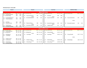### **Elimination Round - January 2022**

| Round 1                     |     |               |    | <b>Round 2</b>           |               |     |                          | Semi-Final          |               |     |                          | <b>MONTHLY FINALS</b> |     |     |  |  |  |
|-----------------------------|-----|---------------|----|--------------------------|---------------|-----|--------------------------|---------------------|---------------|-----|--------------------------|-----------------------|-----|-----|--|--|--|
|                             |     |               |    |                          |               |     |                          |                     |               |     |                          |                       |     |     |  |  |  |
| <b>King of the Lanes</b>    |     |               |    |                          |               |     |                          |                     |               |     |                          |                       |     |     |  |  |  |
| Lane Seed Athlete's Name    |     | Game Hp Total |    | Lane Seed Athlete's Name | Game Hp Total |     | Lane Seed Athlete's Name |                     | Game Hp Total |     | Lane Seed Athlete's Name | Game Hp Total         |     |     |  |  |  |
| 13<br>5 Jay Leon Guerrero   | 219 | 219           |    |                          |               |     |                          |                     |               |     |                          |                       |     |     |  |  |  |
| 14 10 Darien Borja          | 169 | 169           | 21 | 5 Jay Leon Guerrero      | 244           | 244 | 17                       | 1 RJ Santos         | 180           | 180 |                          |                       |     |     |  |  |  |
|                             |     |               |    | versus                   |               |     |                          | versus              |               |     |                          |                       |     |     |  |  |  |
| 6 Frank Manibusan Jr.<br>15 | 214 | 214           | 22 | 6 Frank Manibusan Jr     | 181           | 181 | 18                       | 5 Jay Leon Guerrero | 205           | 205 | 13                       | 5 Jay Leon Guerrero   | 224 | 224 |  |  |  |
| 7 Brian Manibusan<br>16     | 178 | 178           |    |                          |               |     |                          |                     |               |     |                          |                       |     |     |  |  |  |
|                             |     |               |    |                          |               |     |                          |                     |               |     |                          |                       |     |     |  |  |  |
|                             |     |               |    |                          |               |     |                          |                     |               |     |                          | versus                |     |     |  |  |  |
| 17<br>3 Erik Day            | 183 | 183           |    |                          |               |     |                          |                     |               |     |                          |                       |     |     |  |  |  |
| 9 Ray San Nicolas<br>18     | 217 | 217           | 23 | 9 Ray San Nicolas        | 200           | 200 | 15                       | 8 Jeremiah Camacho  | 245           | 245 | 14                       | 8 Jeremiah Camacho    | 212 | 212 |  |  |  |
|                             |     |               |    | versus                   |               |     |                          | versus              |               |     |                          |                       |     |     |  |  |  |
| 4 Ricky Duenas<br>19        | 176 | 176           | 24 | 8 Jeremiah Camacho       | 216           | 216 | 16                       | 2 Angelo Aquino     | 211           | 211 |                          |                       |     |     |  |  |  |
| 8 Jeremiah Camacho<br>20    | 214 | 214           |    |                          |               |     |                          |                     |               |     |                          |                       |     |     |  |  |  |
|                             |     |               |    |                          |               |     |                          |                     |               |     |                          |                       |     |     |  |  |  |
|                             |     |               |    |                          |               |     | <b>College College</b>   |                     |               |     |                          |                       |     |     |  |  |  |

| <b>Prince of the Lanes</b> |               |                          |                  |                                   |               |                          |               |  |  |  |  |  |  |  |
|----------------------------|---------------|--------------------------|------------------|-----------------------------------|---------------|--------------------------|---------------|--|--|--|--|--|--|--|
| Lane Seed Athlete's Name   | Game Hp Total | Lane Seed Athlete's Name | Game Hp Total    | Lane Seed Athlete's Name          | Game Hp Total | Lane Seed Athlete's Name | Game Hp Total |  |  |  |  |  |  |  |
| 5 Gomez Martinez<br>23     | 135 12 147    |                          |                  |                                   |               |                          |               |  |  |  |  |  |  |  |
| 24 10 Miyuki Kim           | 192 46 238    | 13 10 Miyuki Kim         | 158 46 204       | 1 Corey Granillo<br>19            | 152 27 179    |                          |               |  |  |  |  |  |  |  |
|                            |               | versus                   |                  | versus                            |               |                          |               |  |  |  |  |  |  |  |
| 6 Bill Roberto<br>25       | 167 16 183    | 7 Josh Reyes<br>14       | 198 21 219       | 20<br>7 Josh Reyes                | 150 21 171    | L Corey Granillo<br>15   | 197 27 224    |  |  |  |  |  |  |  |
| 26<br>Josh Reves           | 178 21 199    |                          |                  |                                   |               |                          |               |  |  |  |  |  |  |  |
|                            |               |                          |                  |                                   |               | versus                   |               |  |  |  |  |  |  |  |
| 27<br>3 Robert Leones      | 185 12 197    |                          |                  |                                   |               |                          |               |  |  |  |  |  |  |  |
| 28<br>9 Jeremy Leal        | 116 67 183    | 3 Robert Leones<br>15    | 149 12 161       | $^{\bullet}$ 21<br>4 Sheila Bangs | 158 29 187    | 4 Sheila Bangs<br>16     | 126 29 155    |  |  |  |  |  |  |  |
|                            |               | versus                   |                  | versus                            |               |                          |               |  |  |  |  |  |  |  |
| 4 Sheila Bangs<br>29       | 29 210<br>181 | 4 Sheila Bangs<br>16     | 190<br>29<br>161 | 22<br>2 Arlene Reyes              | 129 29 158    |                          |               |  |  |  |  |  |  |  |
| 8 Kaimana Bamba<br>-30     | 178 18 196    |                          |                  |                                   |               |                          |               |  |  |  |  |  |  |  |